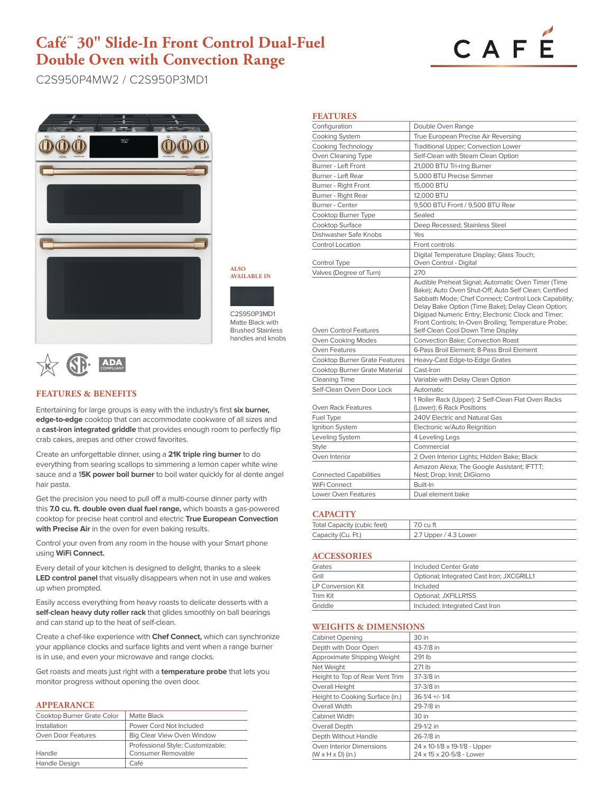# **Café™ 30" Slide-In Front Control Dual-Fuel Double Oven with Convection Range**



C2S950P4MW2 / C2S950P3MD1



**ALSO AVAILABLE IN**

C2S950P3MD1 Matte Black with Brushed Stainless handles and knobs



# **FEATURES & BENEFITS**

Entertaining for large groups is easy with the industry's first **six burner, edge-to-edge** cooktop that can accommodate cookware of all sizes and a **cast-iron integrated griddle** that provides enough room to perfectly flip crab cakes, arepas and other crowd favorites.

Create an unforgettable dinner, using a **21K triple ring burner** to do everything from searing scallops to simmering a lemon caper white wine sauce and a 1**5K power boil burner** to boil water quickly for al dente angel hair pasta.

Get the precision you need to pull off a multi-course dinner party with this **7.0 cu. ft. double oven dual fuel range,** which boasts a gas-powered cooktop for precise heat control and electric **True European Convection with Precise Air** in the oven for even baking results.

Control your oven from any room in the house with your Smart phone using **WiFi Connect.** 

Every detail of your kitchen is designed to delight, thanks to a sleek **LED control panel** that visually disappears when not in use and wakes up when prompted.

Easily access everything from heavy roasts to delicate desserts with a **self-clean heavy duty roller rack** that glides smoothly on ball bearings and can stand up to the heat of self-clean.

Create a chef-like experience with **Chef Connect,** which can synchronize your appliance clocks and surface lights and vent when a range burner is in use, and even your microwave and range clocks.

Get roasts and meats just right with a **temperature probe** that lets you monitor progress without opening the oven door.

#### **APPEARANCE**

| Cooktop Burner Grate Color | Matte Black                       |
|----------------------------|-----------------------------------|
| Installation               | Power Cord Not Included           |
| Oven Door Features         | Big Clear View Oven Window        |
|                            | Professional Style; Customizable; |
| Handle                     | Consumer Removable                |
| Handle Design              | Café                              |

| <b>FEATURES</b>                            |                                                                                                                                                                                                                                                                                                                                         |
|--------------------------------------------|-----------------------------------------------------------------------------------------------------------------------------------------------------------------------------------------------------------------------------------------------------------------------------------------------------------------------------------------|
| Configuration                              | Double Oven Range                                                                                                                                                                                                                                                                                                                       |
| <b>Cooking System</b>                      | True European Precise Air Reversing                                                                                                                                                                                                                                                                                                     |
| Cooking Technology                         | Traditional Upper; Convection Lower                                                                                                                                                                                                                                                                                                     |
| Oven Cleaning Type                         | Self-Clean with Steam Clean Option                                                                                                                                                                                                                                                                                                      |
| Burner - Left Front                        | 21,000 BTU Tri-ring Burner                                                                                                                                                                                                                                                                                                              |
| Burner - Left Rear                         | 5,000 BTU Precise Simmer                                                                                                                                                                                                                                                                                                                |
| Burner - Right Front                       | 15,000 BTU                                                                                                                                                                                                                                                                                                                              |
| Burner - Right Rear                        | 12,000 BTU                                                                                                                                                                                                                                                                                                                              |
| Burner - Center                            | 9,500 BTU Front / 9,500 BTU Rear                                                                                                                                                                                                                                                                                                        |
| Cooktop Burner Type                        | Sealed                                                                                                                                                                                                                                                                                                                                  |
| Cooktop Surface                            | Deep Recessed; Stainless Steel                                                                                                                                                                                                                                                                                                          |
| Dishwasher Safe Knobs                      | Yes                                                                                                                                                                                                                                                                                                                                     |
| <b>Control Location</b>                    | Front controls                                                                                                                                                                                                                                                                                                                          |
| Control Type                               | Digital Temperature Display; Glass Touch;<br>Oven Control - Digital                                                                                                                                                                                                                                                                     |
| Valves (Degree of Turn)                    | 270                                                                                                                                                                                                                                                                                                                                     |
|                                            | Audible Preheat Signal; Automatic Oven Timer (Time<br>Bake); Auto Oven Shut-Off; Auto Self Clean; Certified<br>Sabbath Mode; Chef Connect; Control Lock Capability;<br>Delay Bake Option (Time Bake); Delay Clean Option;<br>Digipad Numeric Entry; Electronic Clock and Timer;<br>Front Controls; In-Oven Broiling; Temperature Probe; |
| Oven Control Features                      | Self-Clean Cool Down Time Display<br><b>Convection Bake: Convection Roast</b>                                                                                                                                                                                                                                                           |
| Oven Cooking Modes<br><b>Oven Features</b> | 6-Pass Broil Element: 8-Pass Broil Element                                                                                                                                                                                                                                                                                              |
| <b>Cooktop Burner Grate Features</b>       | Heavy-Cast Edge-to-Edge Grates                                                                                                                                                                                                                                                                                                          |
| Cooktop Burner Grate Material              | Cast-Iron                                                                                                                                                                                                                                                                                                                               |
| <b>Cleaning Time</b>                       | Variable with Delay Clean Option                                                                                                                                                                                                                                                                                                        |
| Self-Clean Oven Door Lock                  | <b>Automatic</b>                                                                                                                                                                                                                                                                                                                        |
| Oven Rack Features                         | 1 Roller Rack (Upper); 2 Self-Clean Flat Oven Racks<br>(Lower); 6 Rack Positions                                                                                                                                                                                                                                                        |
| Fuel Type                                  | 240V Electric and Natural Gas                                                                                                                                                                                                                                                                                                           |
| Ignition System                            | Electronic w/Auto Reignition                                                                                                                                                                                                                                                                                                            |
| Leveling System                            | 4 Leveling Legs                                                                                                                                                                                                                                                                                                                         |
| <b>Style</b>                               | Commercial                                                                                                                                                                                                                                                                                                                              |
| Oven Interior                              | 2 Oven Interior Lights; Hidden Bake; Black                                                                                                                                                                                                                                                                                              |
| <b>Connected Capabilities</b>              | Amazon Alexa; The Google Assistant; IFTTT;<br>Nest; Drop; Innit; DiGiorno                                                                                                                                                                                                                                                               |
| WiFi Connect                               | Built-In                                                                                                                                                                                                                                                                                                                                |
| Lower Oven Features                        | Dual element bake                                                                                                                                                                                                                                                                                                                       |

### **CAPACITY**

| Total Capacity (cubic feet) | 7.0 cu ft             |
|-----------------------------|-----------------------|
| Capacity (Cu. Ft.)          | 2.7 Upper / 4.3 Lower |

### **ACCESSORIES**

| Grates            | Included Center Grate                     |
|-------------------|-------------------------------------------|
| Grill             | Optional; Integrated Cast Iron; JXCGRILL1 |
| LP Conversion Kit | Included                                  |
| Trim Kit          | Optional; JXFILLR1SS                      |
| Griddle           | Included; Integrated Cast Iron            |

# **WEIGHTS & DIMENSIONS**

| <b>Cabinet Opening</b>                                    | 30 in                                                    |
|-----------------------------------------------------------|----------------------------------------------------------|
| Depth with Door Open                                      | 43-7/8 in                                                |
| Approximate Shipping Weight                               | 291 lb                                                   |
| Net Weight                                                | 271 lb                                                   |
| Height to Top of Rear Vent Trim                           | 37-3/8 in                                                |
| Overall Height                                            | 37-3/8 in                                                |
| Height to Cooking Surface (in.)                           | $36-1/4$ +/- $1/4$                                       |
| Overall Width                                             | 29-7/8 in                                                |
| Cabinet Width                                             | 30 in                                                    |
| Overall Depth                                             | 29-1/2 in                                                |
| Depth Without Handle                                      | 26-7/8 in                                                |
| Oven Interior Dimensions<br>$(W \times H \times D)$ (in.) | 24 x 10-1/8 x 19-1/8 - Upper<br>24 x 15 x 20-5/8 - Lower |